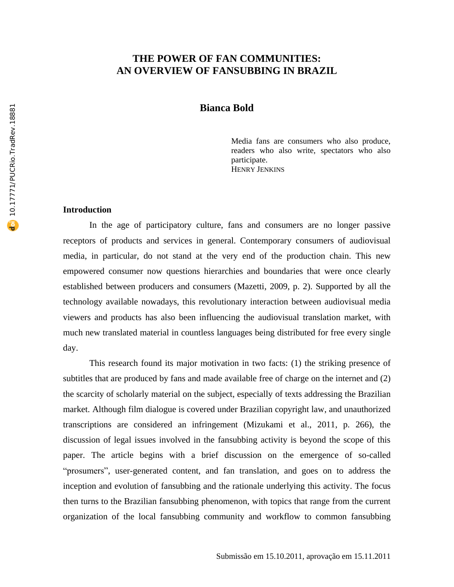# **THE POWER OF FAN COMMUNITIES: AN OVERVIEW OF FANSUBBING IN BRAZIL**

# **Bianca Bold**

Media fans are consumers who also produce, readers who also write, spectators who also participate. HENRY JENKINS

#### **Introduction**

In the age of participatory culture, fans and consumers are no longer passive receptors of products and services in general. Contemporary consumers of audiovisual media, in particular, do not stand at the very end of the production chain. This new empowered consumer now questions hierarchies and boundaries that were once clearly established between producers and consumers (Mazetti, 2009, p. 2). Supported by all the technology available nowadays, this revolutionary interaction between audiovisual media viewers and products has also been influencing the audiovisual translation market, with much new translated material in countless languages being distributed for free every single day.

This research found its major motivation in two facts: (1) the striking presence of subtitles that are produced by fans and made available free of charge on the internet and (2) the scarcity of scholarly material on the subject, especially of texts addressing the Brazilian market. Although film dialogue is covered under Brazilian copyright law, and unauthorized transcriptions are considered an infringement (Mizukami et al., 2011, p. 266), the discussion of legal issues involved in the fansubbing activity is beyond the scope of this paper. The article begins with a brief discussion on the emergence of so-called "prosumers", user-generated content, and fan translation, and goes on to address the inception and evolution of fansubbing and the rationale underlying this activity. The focus then turns to the Brazilian fansubbing phenomenon, with topics that range from the current organization of the local fansubbing community and workflow to common fansubbing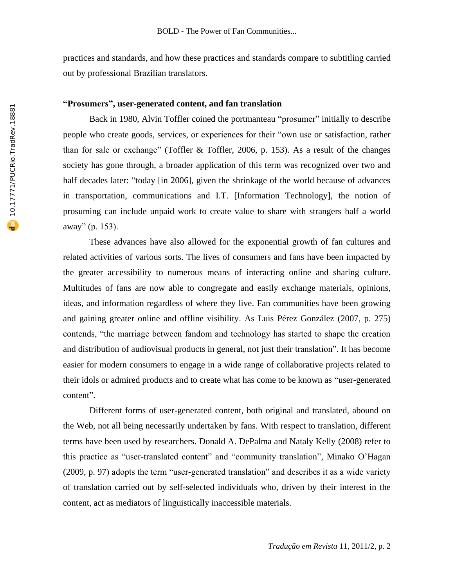practices and standards, and how these practices and standards compare to subtitling carried out by professional Brazilian translators.

### **"Prosumers", user-generated content, and fan translation**

Back in 1980, Alvin Toffler coined the portmanteau "prosumer" initially to describe people who create goods, services, or experiences for their "own use or satisfaction, rather than for sale or exchange" (Toffler & Toffler, 2006, p. 153). As a result of the changes society has gone through, a broader application of this term was recognized over two and half decades later: "today [in 2006], given the shrinkage of the world because of advances in transportation, communications and I.T. [Information Technology], the notion of prosuming can include unpaid work to create value to share with strangers half a world away" (p. 153).

These advances have also allowed for the exponential growth of fan cultures and related activities of various sorts. The lives of consumers and fans have been impacted by the greater accessibility to numerous means of interacting online and sharing culture. Multitudes of fans are now able to congregate and easily exchange materials, opinions, ideas, and information regardless of where they live. Fan communities have been growing and gaining greater online and offline visibility. As Luis Pérez González (2007, p. 275) contends, "the marriage between fandom and technology has started to shape the creation and distribution of audiovisual products in general, not just their translation". It has become easier for modern consumers to engage in a wide range of collaborative projects related to their idols or admired products and to create what has come to be known as "user-generated content".

Different forms of user-generated content, both original and translated, abound on the Web, not all being necessarily undertaken by fans. With respect to translation, different terms have been used by researchers. Donald A. DePalma and Nataly Kelly (2008) refer to this practice as "user-translated content" and "community translation", Minako O'Hagan (2009, p. 97) adopts the term "user-generated translation" and describes it as a wide variety of translation carried out by self-selected individuals who, driven by their interest in the content, act as mediators of linguistically inaccessible materials.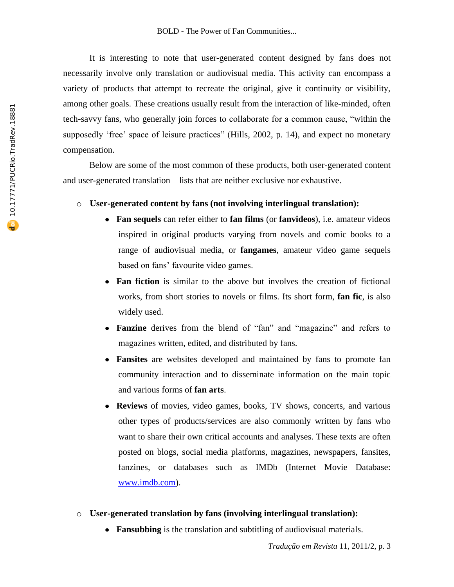It is interesting to note that user-generated content designed by fans does not necessarily involve only translation or audiovisual media. This activity can encompass a variety of products that attempt to recreate the original, give it continuity or visibility, among other goals. These creations usually result from the interaction of like-minded, often tech-savvy fans, who generally join forces to collaborate for a common cause, "within the supposedly 'free' space of leisure practices" (Hills, 2002, p. 14), and expect no monetary compensation.

Below are some of the most common of these products, both user-generated content and user-generated translation—lists that are neither exclusive nor exhaustive.

# o **User-generated content by fans (not involving interlingual translation):**

- **Fan sequels** can refer either to **fan films** (or **fanvideos**), i.e. amateur videos inspired in original products varying from novels and comic books to a range of audiovisual media, or **fangames**, amateur video game sequels based on fans' favourite video games.
- **Fan fiction** is similar to the above but involves the creation of fictional works, from short stories to novels or films. Its short form, **fan fic**, is also widely used.
- **Fanzine** derives from the blend of "fan" and "magazine" and refers to magazines written, edited, and distributed by fans.
- **Fansites** are websites developed and maintained by fans to promote fan community interaction and to disseminate information on the main topic and various forms of **fan arts**.
- **Reviews** of movies, video games, books, TV shows, concerts, and various other types of products/services are also commonly written by fans who want to share their own critical accounts and analyses. These texts are often posted on blogs, social media platforms, magazines, newspapers, fansites, fanzines, or databases such as IMDb (Internet Movie Database: www.imdb.com).

# o **User-generated translation by fans (involving interlingual translation):**

**Fansubbing** is the translation and subtitling of audiovisual materials.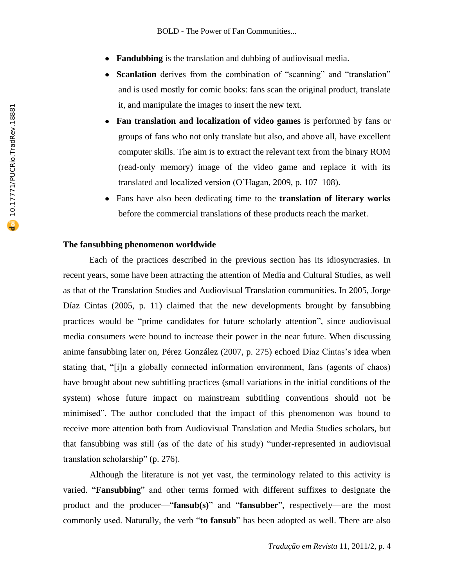- **Fandubbing** is the translation and dubbing of audiovisual media.
- **Scanlation** derives from the combination of "scanning" and "translation" and is used mostly for comic books: fans scan the original product, translate it, and manipulate the images to insert the new text.
- **Fan translation and localization of video games** is performed by fans or groups of fans who not only translate but also, and above all, have excellent computer skills. The aim is to extract the relevant text from the binary ROM (read-only memory) image of the video game and replace it with its translated and localized version (O'Hagan, 2009, p. 107–108).
- Fans have also been dedicating time to the **translation of literary works** before the commercial translations of these products reach the market.

### **The fansubbing phenomenon worldwide**

Each of the practices described in the previous section has its idiosyncrasies. In recent years, some have been attracting the attention of Media and Cultural Studies, as well as that of the Translation Studies and Audiovisual Translation communities. In 2005, Jorge Díaz Cintas (2005, p. 11) claimed that the new developments brought by fansubbing practices would be "prime candidates for future scholarly attention", since audiovisual media consumers were bound to increase their power in the near future. When discussing anime fansubbing later on, Pérez González (2007, p. 275) echoed Díaz Cintas's idea when stating that, "[i]n a globally connected information environment, fans (agents of chaos) have brought about new subtitling practices (small variations in the initial conditions of the system) whose future impact on mainstream subtitling conventions should not be minimised". The author concluded that the impact of this phenomenon was bound to receive more attention both from Audiovisual Translation and Media Studies scholars, but that fansubbing was still (as of the date of his study) "under-represented in audiovisual translation scholarship" (p. 276).

Although the literature is not yet vast, the terminology related to this activity is varied. "**Fansubbing**" and other terms formed with different suffixes to designate the product and the producer—"**fansub(s)**" and "**fansubber**", respectively—are the most commonly used. Naturally, the verb "**to fansub**" has been adopted as well. There are also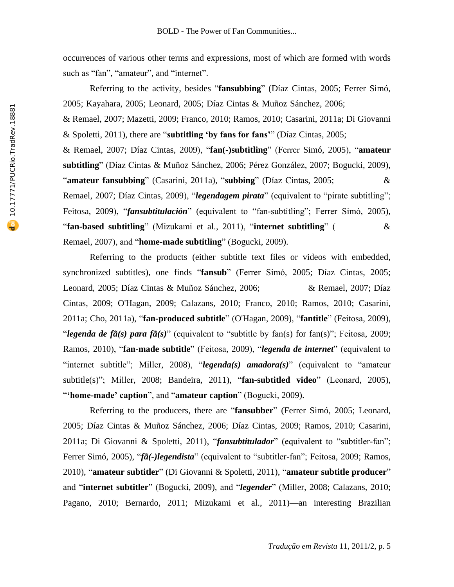occurrences of various other terms and expressions, most of which are formed with words such as "fan", "amateur", and "internet".

Referring to the activity, besides "**fansubbing**" (Díaz Cintas, 2005; Ferrer Simó, 2005; Kayahara, 2005; Leonard, 2005; Díaz Cintas & Muñoz Sánchez, 2006; & Remael, 2007; Mazetti, 2009; Franco, 2010; Ramos, 2010; Casarini, 2011a; Di Giovanni & Spoletti, 2011), there are "**subtitling 'by fans for fans'**" (Díaz Cintas, 2005; & Remael, 2007; Díaz Cintas, 2009), "**fan(-)subtitling**" (Ferrer Simó, 2005), "**amateur subtitling**" (Díaz Cintas & Muñoz Sánchez, 2006; Pérez González, 2007; Bogucki, 2009), "**amateur fansubbing**" (Casarini, 2011a), "**subbing**" (Díaz Cintas, 2005; & Remael, 2007; Díaz Cintas, 2009), "*legendagem pirata*" (equivalent to "pirate subtitling"; Feitosa, 2009), "*fansubtitulación*" (equivalent to "fan-subtitling"; Ferrer Simó, 2005), "**fan-based subtitling**" (Mizukami et al., 2011), "**internet subtitling**" ( & Remael, 2007), and "**home-made subtitling**" (Bogucki, 2009).

Referring to the products (either subtitle text files or videos with embedded, synchronized subtitles), one finds "**fansub**" (Ferrer Simó, 2005; Díaz Cintas, 2005; Leonard, 2005; Díaz Cintas & Muñoz Sánchez, 2006; & Remael, 2007; Díaz Cintas, 2009; O'Hagan, 2009; Calazans, 2010; Franco, 2010; Ramos, 2010; Casarini, 2011a; Cho, 2011a), "**fan-produced subtitle**" (O'Hagan, 2009), "**fantitle**" (Feitosa, 2009), "*legenda de fã(s) para fã(s)*" (equivalent to "subtitle by fan(s) for fan(s)"; Feitosa, 2009; Ramos, 2010), "**fan-made subtitle**" (Feitosa, 2009), "*legenda de internet*" (equivalent to "internet subtitle"; Miller, 2008), "*legenda(s) amadora(s)*" (equivalent to "amateur subtitle(s)"; Miller, 2008; Bandeira, 2011), "**fan-subtitled video**" (Leonard, 2005), "**'home-made' caption**", and "**amateur caption**" (Bogucki, 2009).

Referring to the producers, there are "**fansubber**" (Ferrer Simó, 2005; Leonard, 2005; Díaz Cintas & Muñoz Sánchez, 2006; Díaz Cintas, 2009; Ramos, 2010; Casarini, 2011a; Di Giovanni & Spoletti, 2011), "*fansubtitulador*" (equivalent to "subtitler-fan"; Ferrer Simó, 2005), "*fã(-)legendista*" (equivalent to "subtitler-fan"; Feitosa, 2009; Ramos, 2010), "**amateur subtitler**" (Di Giovanni & Spoletti, 2011), "**amateur subtitle producer**" and "**internet subtitler**" (Bogucki, 2009), and "*legender*" (Miller, 2008; Calazans, 2010; Pagano, 2010; Bernardo, 2011; Mizukami et al., 2011)—an interesting Brazilian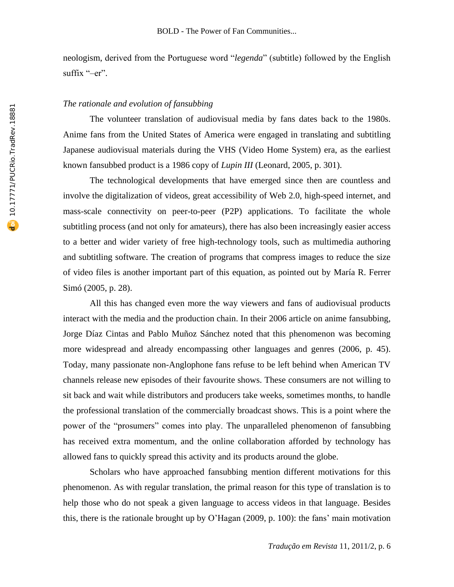neologism, derived from the Portuguese word "*legenda*" (subtitle) followed by the English suffix "-er".

### *The rationale and evolution of fansubbing*

The volunteer translation of audiovisual media by fans dates back to the 1980s. Anime fans from the United States of America were engaged in translating and subtitling Japanese audiovisual materials during the VHS (Video Home System) era, as the earliest known fansubbed product is a 1986 copy of *Lupin III* (Leonard, 2005, p. 301).

The technological developments that have emerged since then are countless and involve the digitalization of videos, great accessibility of Web 2.0, high-speed internet, and mass-scale connectivity on peer-to-peer (P2P) applications. To facilitate the whole subtitling process (and not only for amateurs), there has also been increasingly easier access to a better and wider variety of free high-technology tools, such as multimedia authoring and subtitling software. The creation of programs that compress images to reduce the size of video files is another important part of this equation, as pointed out by María R. Ferrer Simó (2005, p. 28).

All this has changed even more the way viewers and fans of audiovisual products interact with the media and the production chain. In their 2006 article on anime fansubbing, Jorge Díaz Cintas and Pablo Muñoz Sánchez noted that this phenomenon was becoming more widespread and already encompassing other languages and genres (2006, p. 45). Today, many passionate non-Anglophone fans refuse to be left behind when American TV channels release new episodes of their favourite shows. These consumers are not willing to sit back and wait while distributors and producers take weeks, sometimes months, to handle the professional translation of the commercially broadcast shows. This is a point where the power of the "prosumers" comes into play. The unparalleled phenomenon of fansubbing has received extra momentum, and the online collaboration afforded by technology has allowed fans to quickly spread this activity and its products around the globe.

Scholars who have approached fansubbing mention different motivations for this phenomenon. As with regular translation, the primal reason for this type of translation is to help those who do not speak a given language to access videos in that language. Besides this, there is the rationale brought up by O'Hagan (2009, p. 100): the fans' main motivation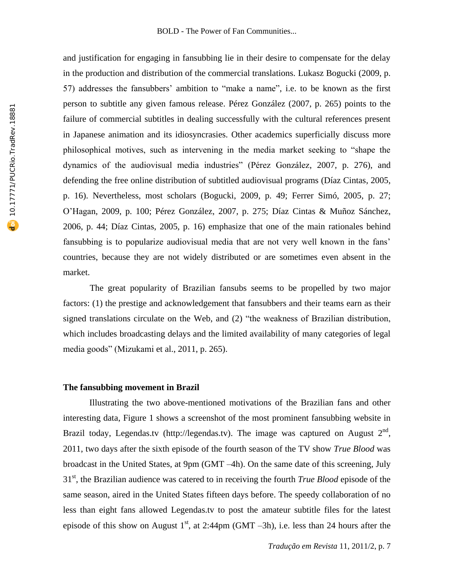and justification for engaging in fansubbing lie in their desire to compensate for the delay in the production and distribution of the commercial translations. Lukasz Bogucki (2009, p. 57) addresses the fansubbers' ambition to "make a name", i.e. to be known as the first person to subtitle any given famous release. Pérez González (2007, p. 265) points to the failure of commercial subtitles in dealing successfully with the cultural references present in Japanese animation and its idiosyncrasies. Other academics superficially discuss more philosophical motives, such as intervening in the media market seeking to "shape the dynamics of the audiovisual media industries" (Pérez González, 2007, p. 276), and defending the free online distribution of subtitled audiovisual programs (Díaz Cintas, 2005, p. 16). Nevertheless, most scholars (Bogucki, 2009, p. 49; Ferrer Simó, 2005, p. 27; O'Hagan, 2009, p. 100; Pérez González, 2007, p. 275; Díaz Cintas & Muñoz Sánchez, 2006, p. 44; Díaz Cintas, 2005, p. 16) emphasize that one of the main rationales behind fansubbing is to popularize audiovisual media that are not very well known in the fans' countries, because they are not widely distributed or are sometimes even absent in the market.

The great popularity of Brazilian fansubs seems to be propelled by two major factors: (1) the prestige and acknowledgement that fansubbers and their teams earn as their signed translations circulate on the Web, and (2) "the weakness of Brazilian distribution, which includes broadcasting delays and the limited availability of many categories of legal media goods" (Mizukami et al., 2011, p. 265).

#### **The fansubbing movement in Brazil**

Illustrating the two above-mentioned motivations of the Brazilian fans and other interesting data, Figure 1 shows a screenshot of the most prominent fansubbing website in Brazil today, Legendas.tv (http://legendas.tv). The image was captured on August  $2<sup>nd</sup>$ , 2011, two days after the sixth episode of the fourth season of the TV show *True Blood* was broadcast in the United States, at 9pm (GMT –4h). On the same date of this screening, July 31<sup>st</sup>, the Brazilian audience was catered to in receiving the fourth *True Blood* episode of the same season, aired in the United States fifteen days before. The speedy collaboration of no less than eight fans allowed Legendas.tv to post the amateur subtitle files for the latest episode of this show on August  $1<sup>st</sup>$ , at 2:44pm (GMT –3h), i.e. less than 24 hours after the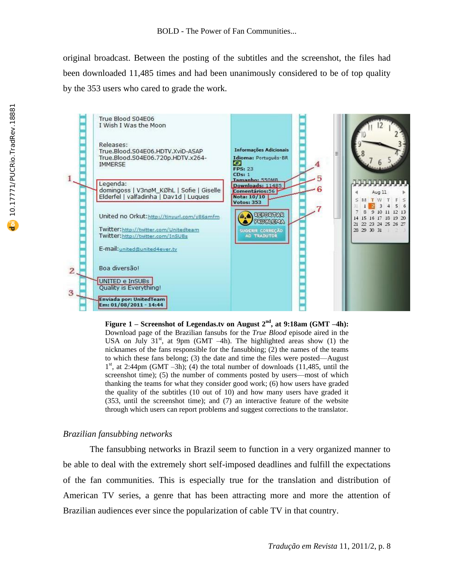original broadcast. Between the posting of the subtitles and the screenshot, the files had been downloaded 11,485 times and had been unanimously considered to be of top quality by the 353 users who cared to grade the work.



**Figure 1 – Screenshot of Legendas.tv on August 2nd, at 9:18am (GMT –4h):** Download page of the Brazilian fansubs for the *True Blood* episode aired in the USA on July  $31<sup>st</sup>$ , at 9pm (GMT -4h). The highlighted areas show (1) the nicknames of the fans responsible for the fansubbing; (2) the names of the teams to which these fans belong; (3) the date and time the files were posted—August  $1<sup>st</sup>$ , at 2:44pm (GMT –3h); (4) the total number of downloads (11,485, until the screenshot time); (5) the number of comments posted by users—most of which thanking the teams for what they consider good work; (6) how users have graded the quality of the subtitles (10 out of 10) and how many users have graded it (353, until the screenshot time); and (7) an interactive feature of the website through which users can report problems and suggest corrections to the translator.

# *Brazilian fansubbing networks*

The fansubbing networks in Brazil seem to function in a very organized manner to be able to deal with the extremely short self-imposed deadlines and fulfill the expectations of the fan communities. This is especially true for the translation and distribution of American TV series, a genre that has been attracting more and more the attention of Brazilian audiences ever since the popularization of cable TV in that country.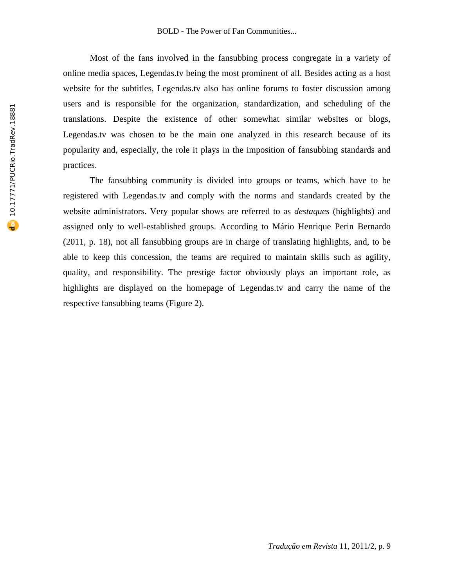Most of the fans involved in the fansubbing process congregate in a variety of online media spaces, Legendas.tv being the most prominent of all. Besides acting as a host website for the subtitles, Legendas.tv also has online forums to foster discussion among users and is responsible for the organization, standardization, and scheduling of the translations. Despite the existence of other somewhat similar websites or blogs, Legendas.tv was chosen to be the main one analyzed in this research because of its popularity and, especially, the role it plays in the imposition of fansubbing standards and practices.

The fansubbing community is divided into groups or teams, which have to be registered with Legendas.tv and comply with the norms and standards created by the website administrators. Very popular shows are referred to as *destaques* (highlights) and assigned only to well-established groups. According to Mário Henrique Perin Bernardo (2011, p. 18), not all fansubbing groups are in charge of translating highlights, and, to be able to keep this concession, the teams are required to maintain skills such as agility, quality, and responsibility. The prestige factor obviously plays an important role, as highlights are displayed on the homepage of Legendas.tv and carry the name of the respective fansubbing teams (Figure 2).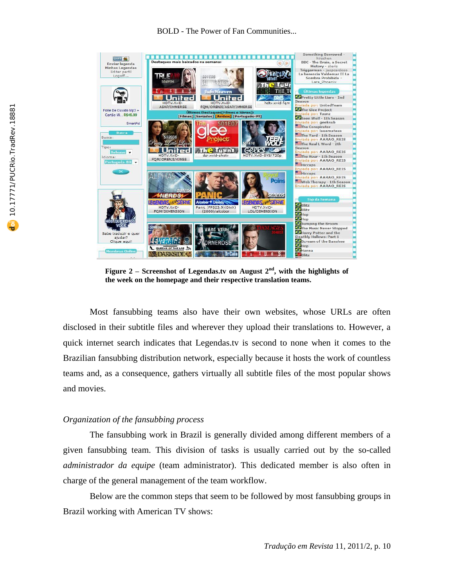#### BOLD - The Power of Fan Communities...



**Figure 2 – Screenshot of Legendas.tv on August 2nd , with the highlights of the week on the homepage and their respective translation teams.**

Most fansubbing teams also have their own websites, whose URLs are often disclosed in their subtitle files and wherever they upload their translations to. However, a quick internet search indicates that Legendas.tv is second to none when it comes to the Brazilian fansubbing distribution network, especially because it hosts the work of countless teams and, as a consequence, gathers virtually all subtitle files of the most popular shows and movies.

# *Organization of the fansubbing process*

The fansubbing work in Brazil is generally divided among different members of a given fansubbing team. This division of tasks is usually carried out by the so-called *administrador da equipe* (team administrator). This dedicated member is also often in charge of the general management of the team workflow.

Below are the common steps that seem to be followed by most fansubbing groups in Brazil working with American TV shows: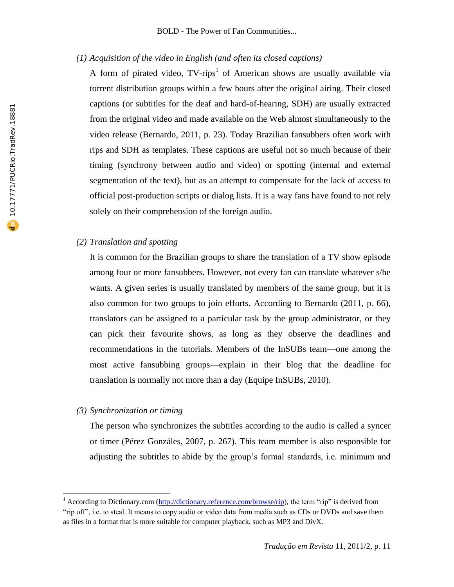# *(1) Acquisition of the video in English (and often its closed captions)*

A form of pirated video,  $TV$ -rips<sup>1</sup> of American shows are usually available via torrent distribution groups within a few hours after the original airing. Their closed captions (or subtitles for the deaf and hard-of-hearing, SDH) are usually extracted from the original video and made available on the Web almost simultaneously to the video release (Bernardo, 2011, p. 23). Today Brazilian fansubbers often work with rips and SDH as templates. These captions are useful not so much because of their timing (synchrony between audio and video) or spotting (internal and external segmentation of the text), but as an attempt to compensate for the lack of access to official post-production scripts or dialog lists. It is a way fans have found to not rely solely on their comprehension of the foreign audio.

### *(2) Translation and spotting*

It is common for the Brazilian groups to share the translation of a TV show episode among four or more fansubbers. However, not every fan can translate whatever s/he wants. A given series is usually translated by members of the same group, but it is also common for two groups to join efforts. According to Bernardo (2011, p. 66), translators can be assigned to a particular task by the group administrator, or they can pick their favourite shows, as long as they observe the deadlines and recommendations in the tutorials. Members of the InSUBs team—one among the most active fansubbing groups—explain in their blog that the deadline for translation is normally not more than a day (Equipe InSUBs, 2010).

### *(3) Synchronization or timing*

 $\overline{a}$ 

The person who synchronizes the subtitles according to the audio is called a syncer or timer (Pérez Gonzáles, 2007, p. 267). This team member is also responsible for adjusting the subtitles to abide by the group's formal standards, i.e. minimum and

<sup>&</sup>lt;sup>1</sup> According to Dictionary.com (http://dictionary.reference.com/browse/rip), the term "rip" is derived from "rip off", i.e. to steal. It means to copy audio or video data from media such as CDs or DVDs and save them as files in a format that is more suitable for computer playback, such as MP3 and DivX.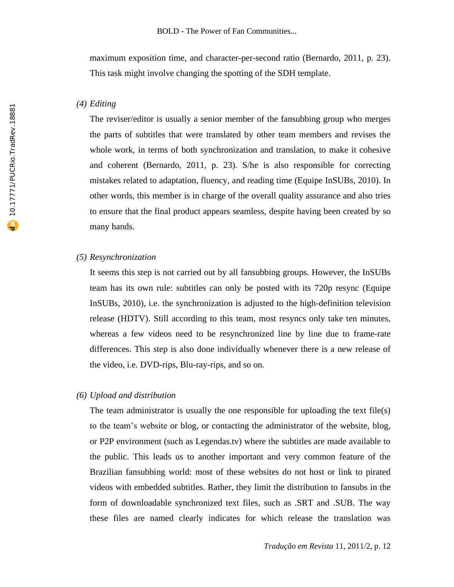maximum exposition time, and character-per-second ratio (Bernardo, 2011, p. 23). This task might involve changing the spotting of the SDH template.

# *(4) Editing*

The reviser/editor is usually a senior member of the fansubbing group who merges the parts of subtitles that were translated by other team members and revises the whole work, in terms of both synchronization and translation, to make it cohesive and coherent (Bernardo, 2011, p. 23). S/he is also responsible for correcting mistakes related to adaptation, fluency, and reading time (Equipe InSUBs, 2010). In other words, this member is in charge of the overall quality assurance and also tries to ensure that the final product appears seamless, despite having been created by so many hands.

## *(5) Resynchronization*

It seems this step is not carried out by all fansubbing groups. However, the InSUBs team has its own rule: subtitles can only be posted with its 720p resync (Equipe InSUBs, 2010), i.e. the synchronization is adjusted to the high-definition television release (HDTV). Still according to this team, most resyncs only take ten minutes, whereas a few videos need to be resynchronized line by line due to frame-rate differences. This step is also done individually whenever there is a new release of the video, i.e. DVD-rips, Blu-ray-rips, and so on.

# *(6) Upload and distribution*

The team administrator is usually the one responsible for uploading the text file(s) to the team's website or blog, or contacting the administrator of the website, blog, or P2P environment (such as Legendas.tv) where the subtitles are made available to the public. This leads us to another important and very common feature of the Brazilian fansubbing world: most of these websites do not host or link to pirated videos with embedded subtitles. Rather, they limit the distribution to fansubs in the form of downloadable synchronized text files, such as .SRT and .SUB. The way these files are named clearly indicates for which release the translation was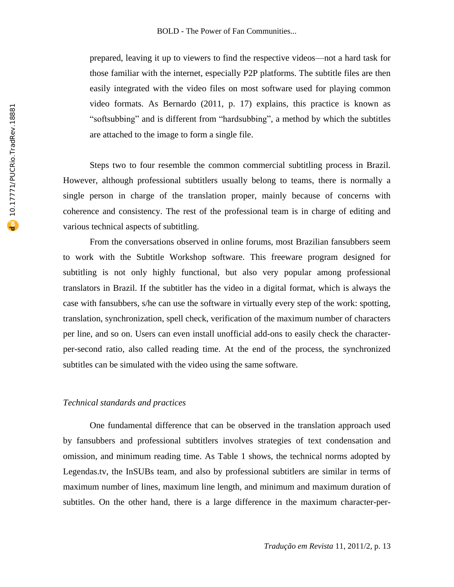prepared, leaving it up to viewers to find the respective videos—not a hard task for those familiar with the internet, especially P2P platforms. The subtitle files are then easily integrated with the video files on most software used for playing common video formats. As Bernardo (2011, p. 17) explains, this practice is known as "softsubbing" and is different from "hardsubbing", a method by which the subtitles are attached to the image to form a single file.

Steps two to four resemble the common commercial subtitling process in Brazil. However, although professional subtitlers usually belong to teams, there is normally a single person in charge of the translation proper, mainly because of concerns with coherence and consistency. The rest of the professional team is in charge of editing and various technical aspects of subtitling.

From the conversations observed in online forums, most Brazilian fansubbers seem to work with the Subtitle Workshop software. This freeware program designed for subtitling is not only highly functional, but also very popular among professional translators in Brazil. If the subtitler has the video in a digital format, which is always the case with fansubbers, s/he can use the software in virtually every step of the work: spotting, translation, synchronization, spell check, verification of the maximum number of characters per line, and so on. Users can even install unofficial add-ons to easily check the characterper-second ratio, also called reading time. At the end of the process, the synchronized subtitles can be simulated with the video using the same software.

### *Technical standards and practices*

One fundamental difference that can be observed in the translation approach used by fansubbers and professional subtitlers involves strategies of text condensation and omission, and minimum reading time. As Table 1 shows, the technical norms adopted by Legendas.tv, the InSUBs team, and also by professional subtitlers are similar in terms of maximum number of lines, maximum line length, and minimum and maximum duration of subtitles. On the other hand, there is a large difference in the maximum character-per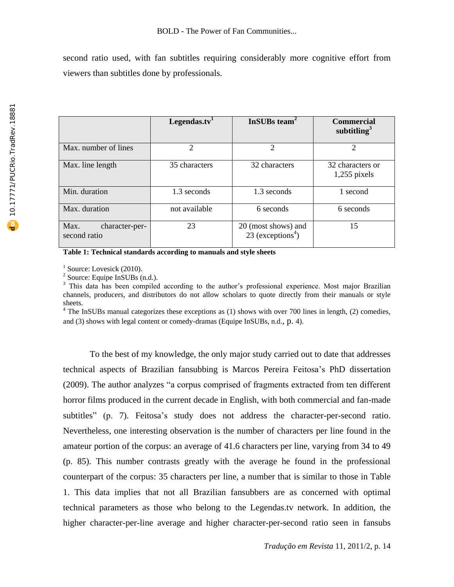second ratio used, with fan subtitles requiring considerably more cognitive effort from viewers than subtitles done by professionals.

|                                        | Legendas.tv <sup>1</sup> | InSUBs team <sup>2</sup>                               | <b>Commercial</b><br>subtitling <sup>3</sup> |
|----------------------------------------|--------------------------|--------------------------------------------------------|----------------------------------------------|
| Max, number of lines                   | $\overline{2}$           | $\overline{c}$                                         | $\overline{2}$                               |
| Max. line length                       | 35 characters            | 32 characters                                          | 32 characters or<br>$1,255$ pixels           |
| Min. duration                          | 1.3 seconds              | 1.3 seconds                                            | 1 second                                     |
| Max. duration                          | not available            | 6 seconds                                              | 6 seconds                                    |
| Max.<br>character-per-<br>second ratio | 23                       | 20 (most shows) and<br>$23$ (exceptions <sup>4</sup> ) | 15                                           |

<sup>1</sup> Source: Lovesick (2010).

 $2$  Source: Equipe InSUBs (n.d.).

<sup>3</sup> This data has been compiled according to the author's professional experience. Most major Brazilian channels, producers, and distributors do not allow scholars to quote directly from their manuals or style sheets.

 $4$  The InSUBs manual categorizes these exceptions as (1) shows with over 700 lines in length, (2) comedies, and (3) shows with legal content or comedy-dramas (Equipe InSUBs, n.d., p. 4).

To the best of my knowledge, the only major study carried out to date that addresses technical aspects of Brazilian fansubbing is Marcos Pereira Feitosa's PhD dissertation (2009). The author analyzes "a corpus comprised of fragments extracted from ten different horror films produced in the current decade in English, with both commercial and fan-made subtitles" (p. 7). Feitosa's study does not address the character-per-second ratio. Nevertheless, one interesting observation is the number of characters per line found in the amateur portion of the corpus: an average of 41.6 characters per line, varying from 34 to 49 (p. 85). This number contrasts greatly with the average he found in the professional counterpart of the corpus: 35 characters per line, a number that is similar to those in Table 1. This data implies that not all Brazilian fansubbers are as concerned with optimal technical parameters as those who belong to the Legendas.tv network. In addition, the higher character-per-line average and higher character-per-second ratio seen in fansubs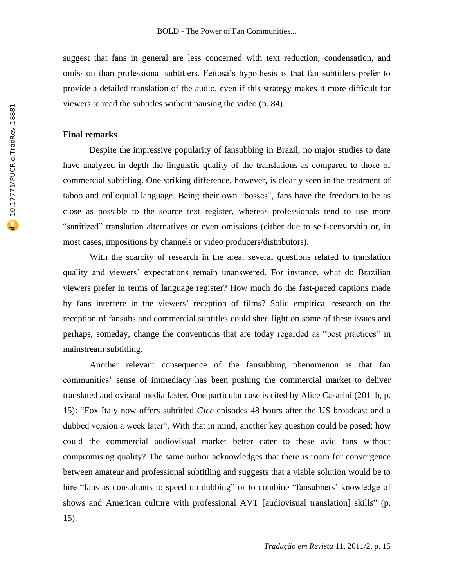suggest that fans in general are less concerned with text reduction, condensation, and omission than professional subtitlers. Feitosa's hypothesis is that fan subtitlers prefer to provide a detailed translation of the audio, even if this strategy makes it more difficult for viewers to read the subtitles without pausing the video (p. 84).

## **Final remarks**

Despite the impressive popularity of fansubbing in Brazil, no major studies to date have analyzed in depth the linguistic quality of the translations as compared to those of commercial subtitling. One striking difference, however, is clearly seen in the treatment of taboo and colloquial language. Being their own "bosses", fans have the freedom to be as close as possible to the source text register, whereas professionals tend to use more "sanitized" translation alternatives or even omissions (either due to self-censorship or, in most cases, impositions by channels or video producers/distributors).

With the scarcity of research in the area, several questions related to translation quality and viewers' expectations remain unanswered. For instance, what do Brazilian viewers prefer in terms of language register? How much do the fast-paced captions made by fans interfere in the viewers' reception of films? Solid empirical research on the reception of fansubs and commercial subtitles could shed light on some of these issues and perhaps, someday, change the conventions that are today regarded as "best practices" in mainstream subtitling.

Another relevant consequence of the fansubbing phenomenon is that fan communities' sense of immediacy has been pushing the commercial market to deliver translated audiovisual media faster. One particular case is cited by Alice Casarini (2011b, p. 15): "Fox Italy now offers subtitled *Glee* episodes 48 hours after the US broadcast and a dubbed version a week later". With that in mind, another key question could be posed: how could the commercial audiovisual market better cater to these avid fans without compromising quality? The same author acknowledges that there is room for convergence between amateur and professional subtitling and suggests that a viable solution would be to hire "fans as consultants to speed up dubbing" or to combine "fansubbers' knowledge of shows and American culture with professional AVT [audiovisual translation] skills" (p. 15).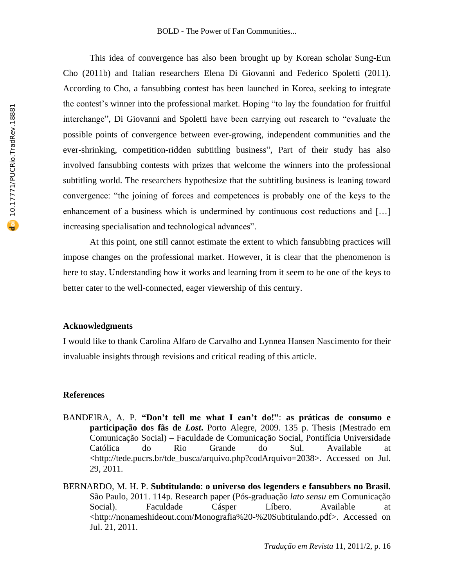This idea of convergence has also been brought up by Korean scholar Sung-Eun Cho (2011b) and Italian researchers Elena Di Giovanni and Federico Spoletti (2011). According to Cho, a fansubbing contest has been launched in Korea, seeking to integrate the contest's winner into the professional market. Hoping "to lay the foundation for fruitful interchange", Di Giovanni and Spoletti have been carrying out research to "evaluate the possible points of convergence between ever-growing, independent communities and the ever-shrinking, competition-ridden subtitling business", Part of their study has also involved fansubbing contests with prizes that welcome the winners into the professional subtitling world. The researchers hypothesize that the subtitling business is leaning toward convergence: "the joining of forces and competences is probably one of the keys to the enhancement of a business which is undermined by continuous cost reductions and […] increasing specialisation and technological advances".

At this point, one still cannot estimate the extent to which fansubbing practices will impose changes on the professional market. However, it is clear that the phenomenon is here to stay. Understanding how it works and learning from it seem to be one of the keys to better cater to the well-connected, eager viewership of this century.

### **Acknowledgments**

I would like to thank Carolina Alfaro de Carvalho and Lynnea Hansen Nascimento for their invaluable insights through revisions and critical reading of this article.

# **References**

- BANDEIRA, A. P. **"Don't tell me what I can't do!"**: **as práticas de consumo e participação dos fãs de** *Lost***.** Porto Alegre, 2009. 135 p. Thesis (Mestrado em Comunicação Social) – Faculdade de Comunicação Social, Pontifícia Universidade Católica do Rio Grande do Sul. Available at <http://tede.pucrs.br/tde\_busca/arquivo.php?codArquivo=2038>. Accessed on Jul. 29, 2011.
- BERNARDO, M. H. P. **Subtitulando**: **o universo dos legenders e fansubbers no Brasil.** São Paulo, 2011. 114p. Research paper (Pós-graduação *lato sensu* em Comunicação Social). Faculdade Cásper Líbero. Available at <http://nonameshideout.com/Monografia%20-%20Subtitulando.pdf>. Accessed on Jul. 21, 2011.

10.17771/PUCRio TradRev. 18881 10.17771/PUCRio.TradRev.18881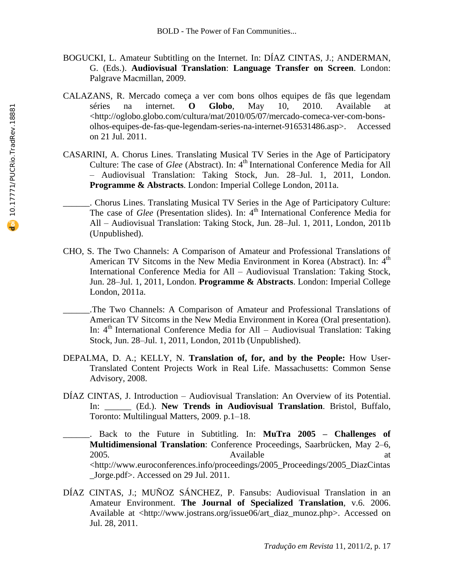- BOGUCKI, L. Amateur Subtitling on the Internet. In: DÍAZ CINTAS, J.; ANDERMAN, G. (Eds.). **Audiovisual Translation**: **Language Transfer on Screen**. London: Palgrave Macmillan, 2009.
- CALAZANS, R. Mercado começa a ver com bons olhos equipes de fãs que legendam séries na internet. **O Globo**, May 10, 2010. Available at <http://oglobo.globo.com/cultura/mat/2010/05/07/mercado-comeca-ver-com-bonsolhos-equipes-de-fas-que-legendam-series-na-internet-916531486.asp>. Accessed on 21 Jul. 2011.
- CASARINI, A. Chorus Lines. Translating Musical TV Series in the Age of Participatory Culture: The case of *Glee* (Abstract). In: 4<sup>th</sup> International Conference Media for All – Audiovisual Translation: Taking Stock, Jun. 28–Jul. 1, 2011, London. **Programme & Abstracts**. London: Imperial College London, 2011a.
- \_\_\_\_\_\_. Chorus Lines. Translating Musical TV Series in the Age of Participatory Culture: The case of *Glee* (Presentation slides). In: 4<sup>th</sup> International Conference Media for All – Audiovisual Translation: Taking Stock, Jun. 28–Jul. 1, 2011, London, 2011b (Unpublished).
- CHO, S. The Two Channels: A Comparison of Amateur and Professional Translations of American TV Sitcoms in the New Media Environment in Korea (Abstract). In: 4<sup>th</sup> International Conference Media for All – Audiovisual Translation: Taking Stock, Jun. 28–Jul. 1, 2011, London. **Programme & Abstracts**. London: Imperial College London, 2011a.
- \_\_\_\_\_\_.The Two Channels: A Comparison of Amateur and Professional Translations of American TV Sitcoms in the New Media Environment in Korea (Oral presentation). In:  $4<sup>th</sup>$  International Conference Media for All – Audiovisual Translation: Taking Stock, Jun. 28–Jul. 1, 2011, London, 2011b (Unpublished).
- DEPALMA, D. A.; KELLY, N. **Translation of, for, and by the People:** How User-Translated Content Projects Work in Real Life. Massachusetts: Common Sense Advisory, 2008.
- DÍAZ CINTAS, J. Introduction Audiovisual Translation: An Overview of its Potential. In: \_\_\_\_\_\_ (Ed.). **New Trends in Audiovisual Translation**. Bristol, Buffalo, Toronto: Multilingual Matters, 2009. p.1–18.
- \_\_\_\_\_\_. Back to the Future in Subtitling. In: **MuTra 2005 – Challenges of Multidimensional Translation**: Conference Proceedings, Saarbrücken, May 2–6, 2005. **a** a set of the Available at a set of the set of the at a set of the set of the set of the set of the set of the set of the set of the set of the set of the set of the set of the set of the set of the set of the set <http://www.euroconferences.info/proceedings/2005\_Proceedings/2005\_DiazCintas \_Jorge.pdf>. Accessed on 29 Jul. 2011.
- DÍAZ CINTAS, J.; MUÑOZ SÁNCHEZ, P. Fansubs: Audiovisual Translation in an Amateur Environment. **The Journal of Specialized Translation**, v.6. 2006. Available at <http://www.jostrans.org/issue06/art\_diaz\_munoz.php>. Accessed on Jul. 28, 2011.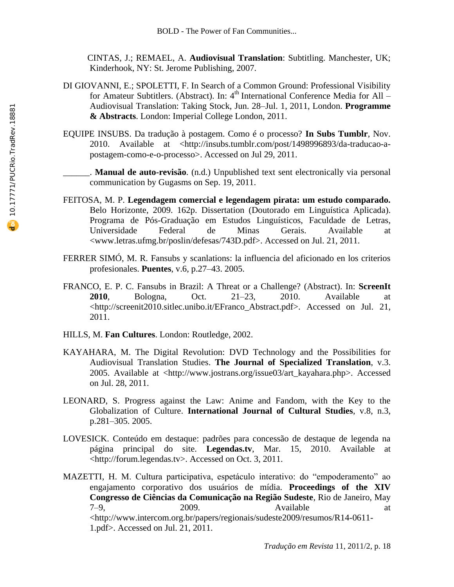CINTAS, J.; REMAEL, A. **Audiovisual Translation**: Subtitling. Manchester, UK; Kinderhook, NY: St. Jerome Publishing, 2007.

- DI GIOVANNI, E.; SPOLETTI, F. In Search of a Common Ground: Professional Visibility for Amateur Subtitlers. (Abstract). In: 4<sup>th</sup> International Conference Media for All -Audiovisual Translation: Taking Stock, Jun. 28–Jul. 1, 2011, London. **Programme & Abstracts**. London: Imperial College London, 2011.
- EQUIPE INSUBS. Da tradução à postagem. Como é o processo? **In Subs Tumblr**, Nov. 2010. Available at <http://insubs.tumblr.com/post/1498996893/da-traducao-apostagem-como-e-o-processo>. Accessed on Jul 29, 2011.
	- \_\_\_\_\_\_. **Manual de auto-revisão**. (n.d.) Unpublished text sent electronically via personal communication by Gugasms on Sep. 19, 2011.
- FEITOSA, M. P. **Legendagem comercial e legendagem pirata: um estudo comparado.** Belo Horizonte, 2009. 162p. Dissertation (Doutorado em Linguística Aplicada). Programa de Pós-Graduação em Estudos Linguísticos, Faculdade de Letras, Universidade Federal de Minas Gerais. Available at <www.letras.ufmg.br/poslin/defesas/743D.pdf>. Accessed on Jul. 21, 2011.
- FERRER SIMÓ, M. R. Fansubs y scanlations: la influencia del aficionado en los criterios profesionales. **Puentes**, v.6, p.27–43. 2005.
- FRANCO, E. P. C. Fansubs in Brazil: A Threat or a Challenge? (Abstract). In: **ScreenIt 2010***,* Bologna, Oct. 21–23, 2010. Available at <http://screenit2010.sitlec.unibo.it/EFranco\_Abstract.pdf>. Accessed on Jul. 21, 2011.
- HILLS, M. **Fan Cultures**. London: Routledge, 2002.
- KAYAHARA, M. The Digital Revolution: DVD Technology and the Possibilities for Audiovisual Translation Studies. **The Journal of Specialized Translation**, v.3. 2005. Available at <http://www.jostrans.org/issue03/art\_kayahara.php>. Accessed on Jul. 28, 2011.
- LEONARD, S. Progress against the Law: Anime and Fandom, with the Key to the Globalization of Culture. **International Journal of Cultural Studies**, v.8, n.3, p.281–305. 2005.
- LOVESICK. Conteúdo em destaque: padrões para concessão de destaque de legenda na página principal do site. **Legendas.tv**, Mar. 15, 2010. Available at <http://forum.legendas.tv>. Accessed on Oct. 3, 2011.
- MAZETTI, H. M. Cultura participativa, espetáculo interativo: do "empoderamento" ao engajamento corporativo dos usuários de mídia. **Proceedings of the XIV Congresso de Ciências da Comunicação na Região Sudeste**, Rio de Janeiro, May 7–9, 2009. Available at <http://www.intercom.org.br/papers/regionais/sudeste2009/resumos/R14-0611- 1.pdf>. Accessed on Jul. 21, 2011.